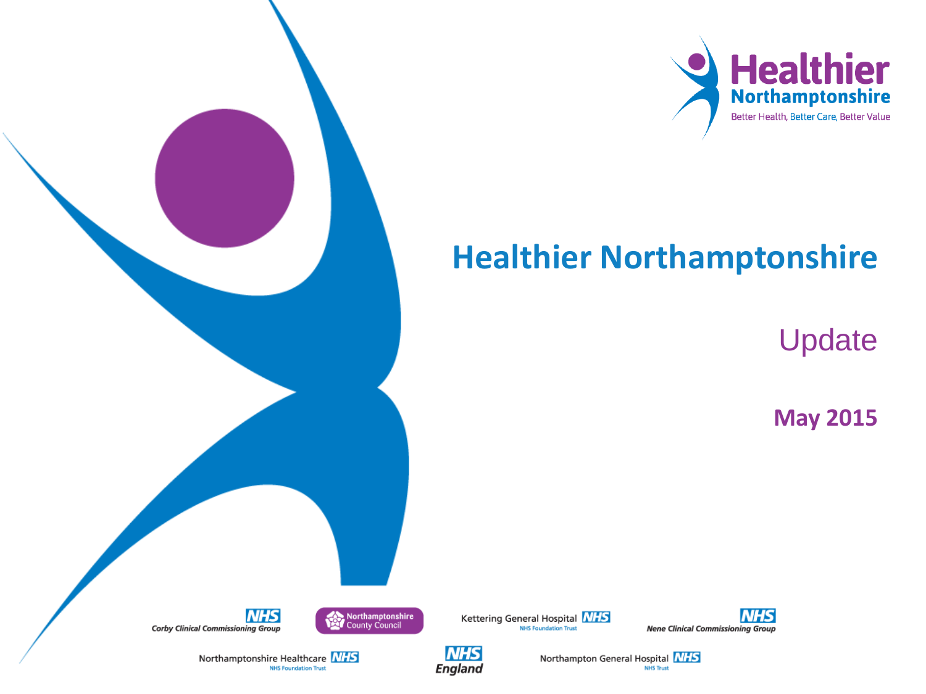

# **Healthier Northamptonshire**

Update

**May 2015**



**NHS** 

England











Northamptonshire Healthcare MIS

**NHS Foundation Trust**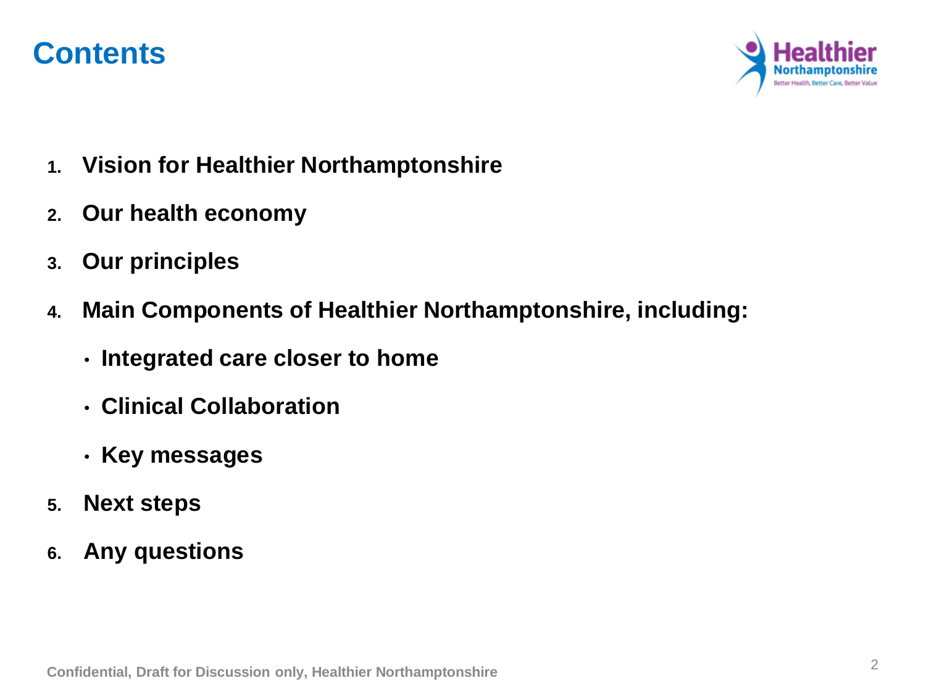### **Contents**



- **1. Vision for Healthier Northamptonshire**
- **2. Our health economy**
- **3. Our principles**
- **4. Main Components of Healthier Northamptonshire, including:**
	- **Integrated care closer to home**
	- **Clinical Collaboration**
	- **Key messages**
- **5. Next steps**
- **6. Any questions**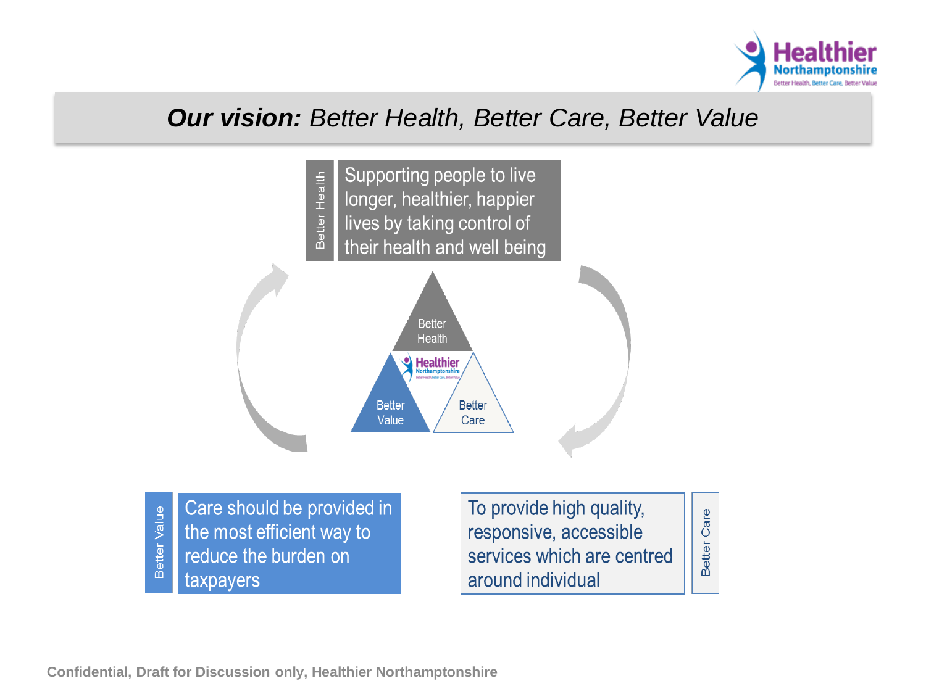

#### *Our vision: Better Health, Better Care, Better Value*



Better Value the most efficient way to reduce the burden on taxpayers

responsive, accessible services which are centred around individual

Care

Better

**Confidential, Draft for Discussion only, Healthier Northamptonshire**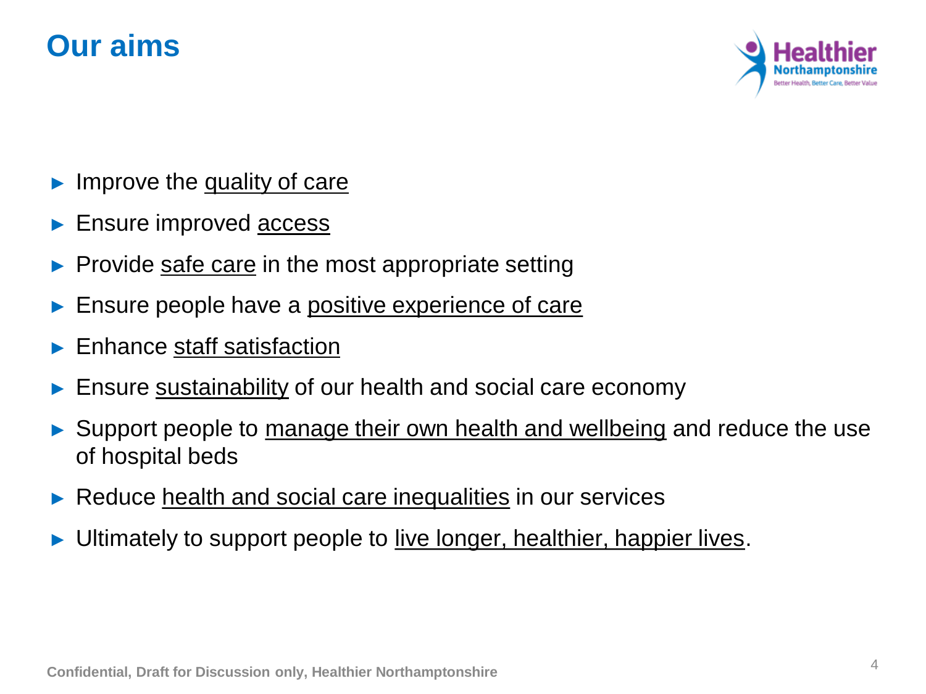### **Our aims**



- Improve the quality of care
- Ensure improved **access**
- Provide safe care in the most appropriate setting
- Ensure people have a <u>positive experience of care</u>
- Enhance staff satisfaction
- Ensure sustainability of our health and social care economy
- ► Support people to manage their own health and wellbeing and reduce the use of hospital beds
- ► Reduce health and social care inequalities in our services
- Ultimately to support people to live longer, healthier, happier lives.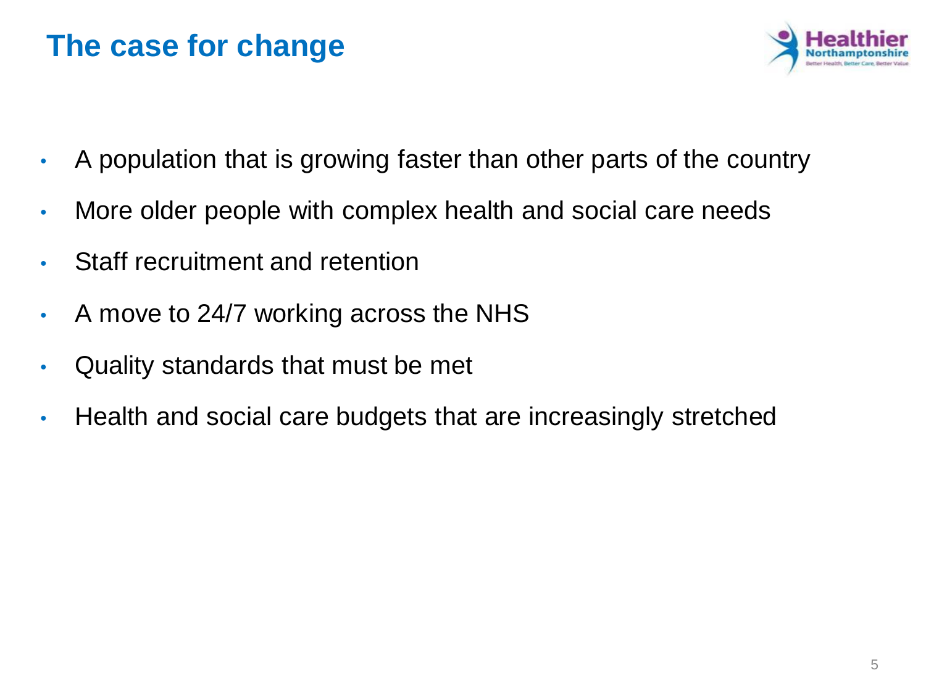### **The case for change**



- A population that is growing faster than other parts of the country
- More older people with complex health and social care needs
- Staff recruitment and retention
- A move to 24/7 working across the NHS
- Quality standards that must be met
- Health and social care budgets that are increasingly stretched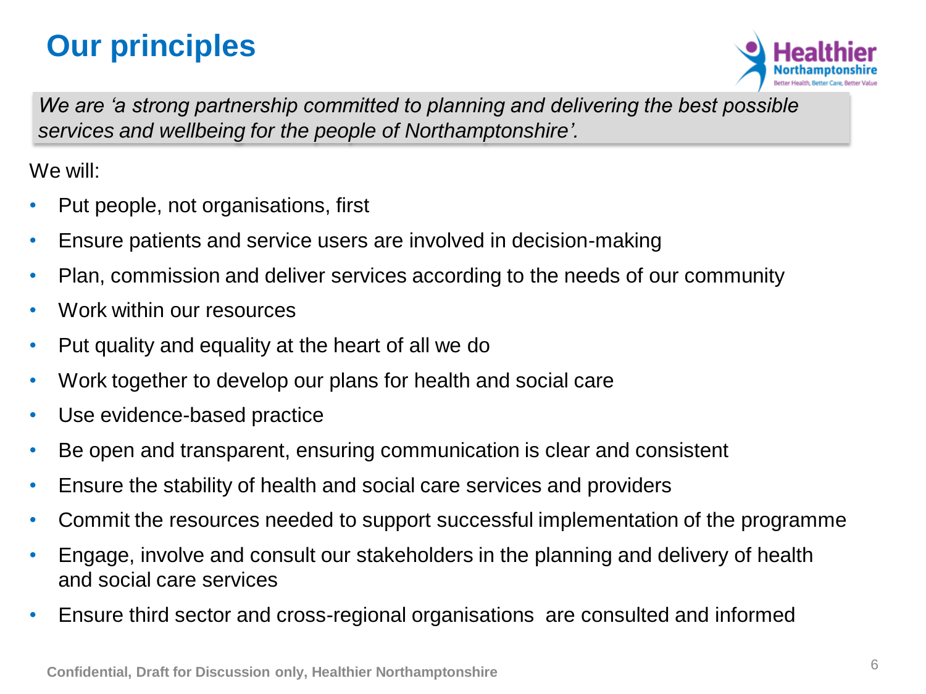# **Our principles**



We are 'a strong partnership committed to planning and delivering the best possible *services and wellbeing for the people of Northamptonshire'.*

We will:

- Put people, not organisations, first
- Ensure patients and service users are involved in decision-making
- Plan, commission and deliver services according to the needs of our community
- Work within our resources
- Put quality and equality at the heart of all we do
- Work together to develop our plans for health and social care
- Use evidence-based practice
- Be open and transparent, ensuring communication is clear and consistent
- Ensure the stability of health and social care services and providers
- Commit the resources needed to support successful implementation of the programme
- Engage, involve and consult our stakeholders in the planning and delivery of health and social care services
- Ensure third sector and cross-regional organisations are consulted and informed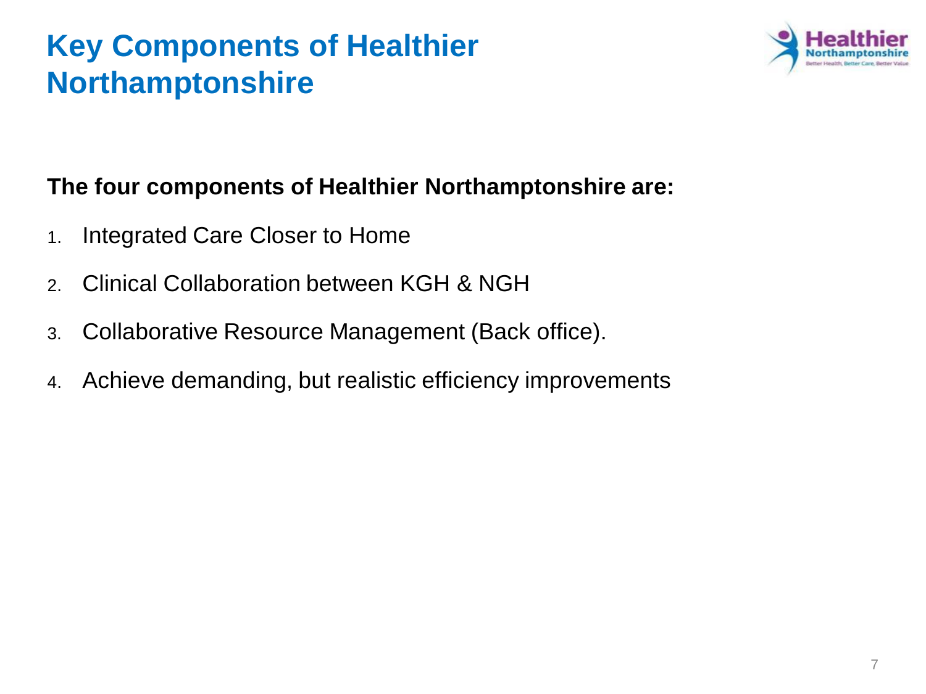# **Key Components of Healthier Northamptonshire**



#### **The four components of Healthier Northamptonshire are:**

- 1. Integrated Care Closer to Home
- 2. Clinical Collaboration between KGH & NGH
- 3. Collaborative Resource Management (Back office).
- 4. Achieve demanding, but realistic efficiency improvements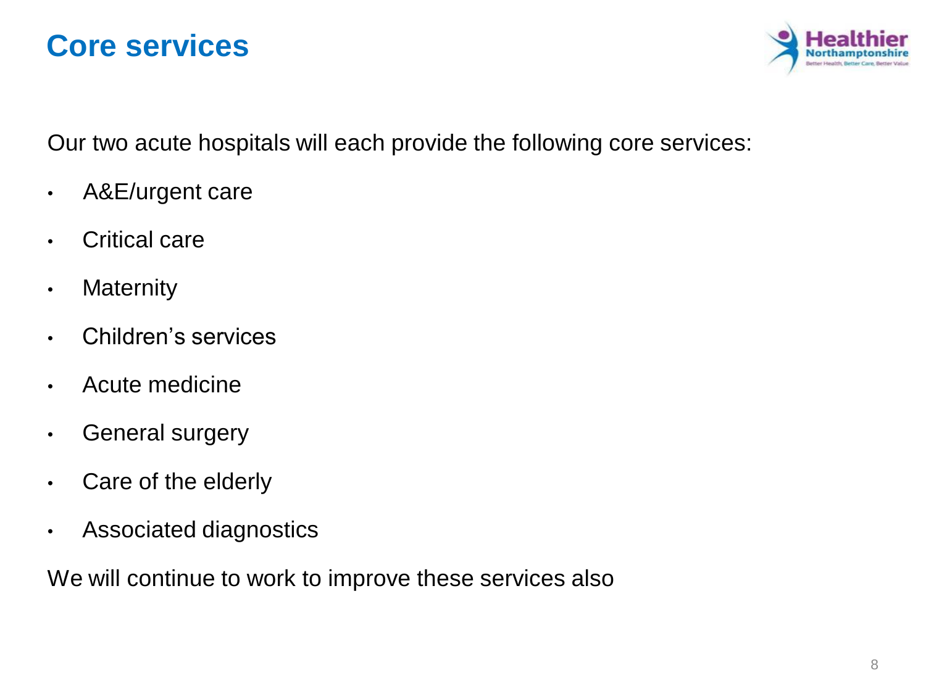### **Core services**



Our two acute hospitals will each provide the following core services:

- A&E/urgent care
- Critical care
- Maternity
- Children's services
- Acute medicine
- General surgery
- Care of the elderly
- Associated diagnostics

We will continue to work to improve these services also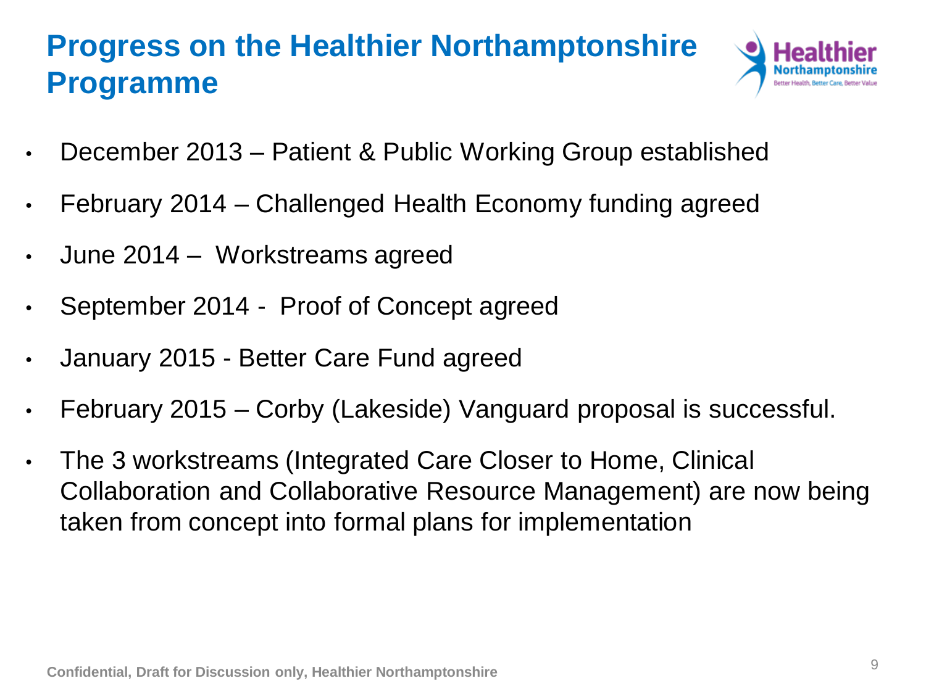# **Progress on the Healthier Northamptonshire Programme**



- December 2013 Patient & Public Working Group established
- February 2014 Challenged Health Economy funding agreed
- June 2014 Workstreams agreed
- September 2014 Proof of Concept agreed
- January 2015 Better Care Fund agreed
- February 2015 Corby (Lakeside) Vanguard proposal is successful.
- The 3 workstreams (Integrated Care Closer to Home, Clinical Collaboration and Collaborative Resource Management) are now being taken from concept into formal plans for implementation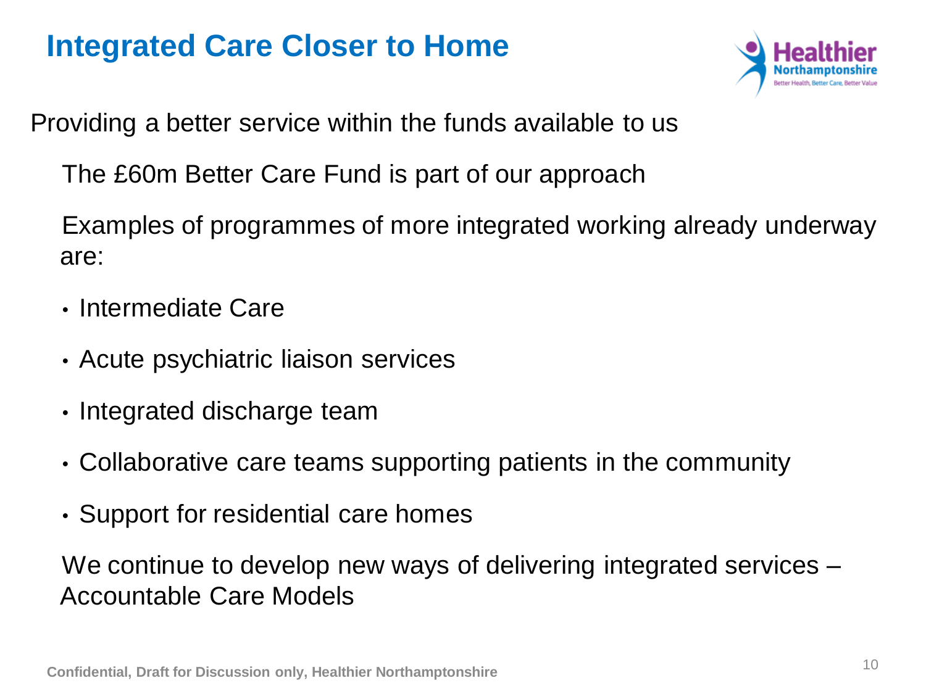### **Integrated Care Closer to Home**



Providing a better service within the funds available to us

The £60m Better Care Fund is part of our approach

Examples of programmes of more integrated working already underway are:

- Intermediate Care
- Acute psychiatric liaison services
- Integrated discharge team
- Collaborative care teams supporting patients in the community
- Support for residential care homes

We continue to develop new ways of delivering integrated services – Accountable Care Models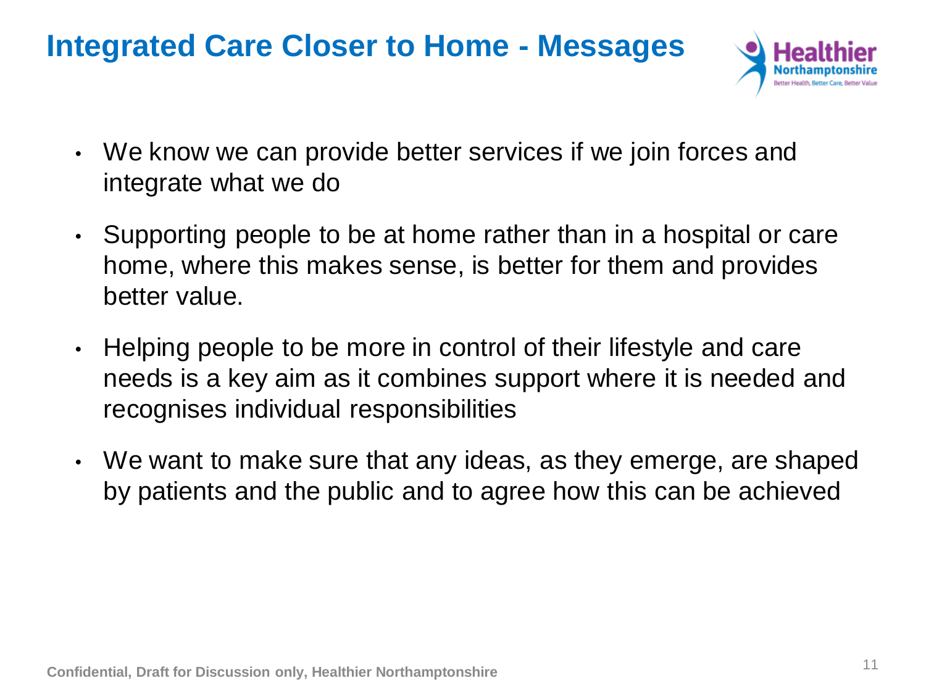### **Integrated Care Closer to Home - Messages**



- We know we can provide better services if we join forces and integrate what we do
- Supporting people to be at home rather than in a hospital or care home, where this makes sense, is better for them and provides better value.
- Helping people to be more in control of their lifestyle and care needs is a key aim as it combines support where it is needed and recognises individual responsibilities
- We want to make sure that any ideas, as they emerge, are shaped by patients and the public and to agree how this can be achieved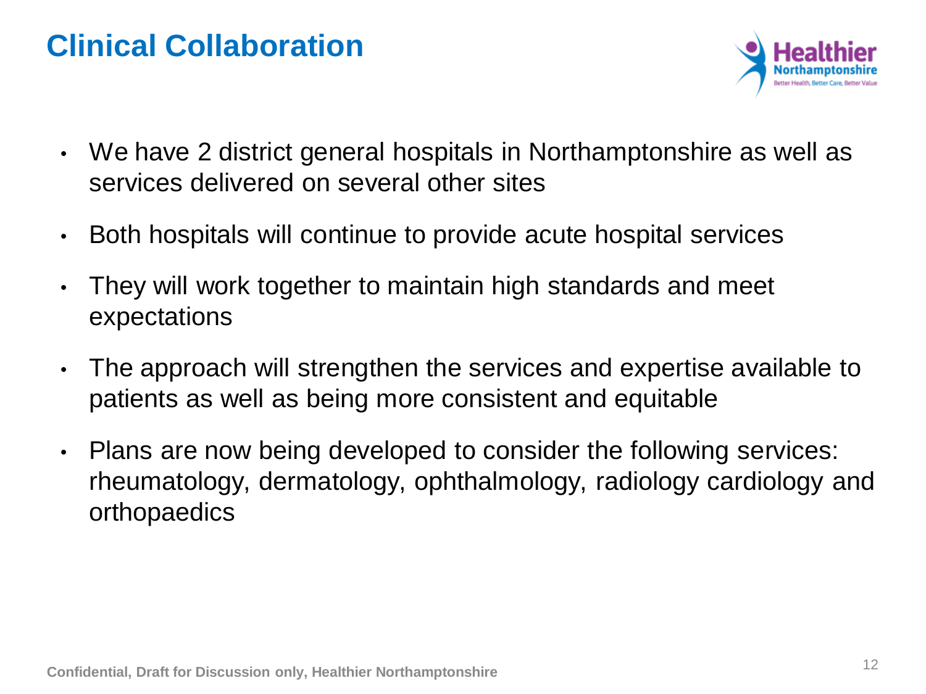### **Clinical Collaboration**



- We have 2 district general hospitals in Northamptonshire as well as services delivered on several other sites
- Both hospitals will continue to provide acute hospital services
- They will work together to maintain high standards and meet expectations
- The approach will strengthen the services and expertise available to patients as well as being more consistent and equitable
- Plans are now being developed to consider the following services: rheumatology, dermatology, ophthalmology, radiology cardiology and orthopaedics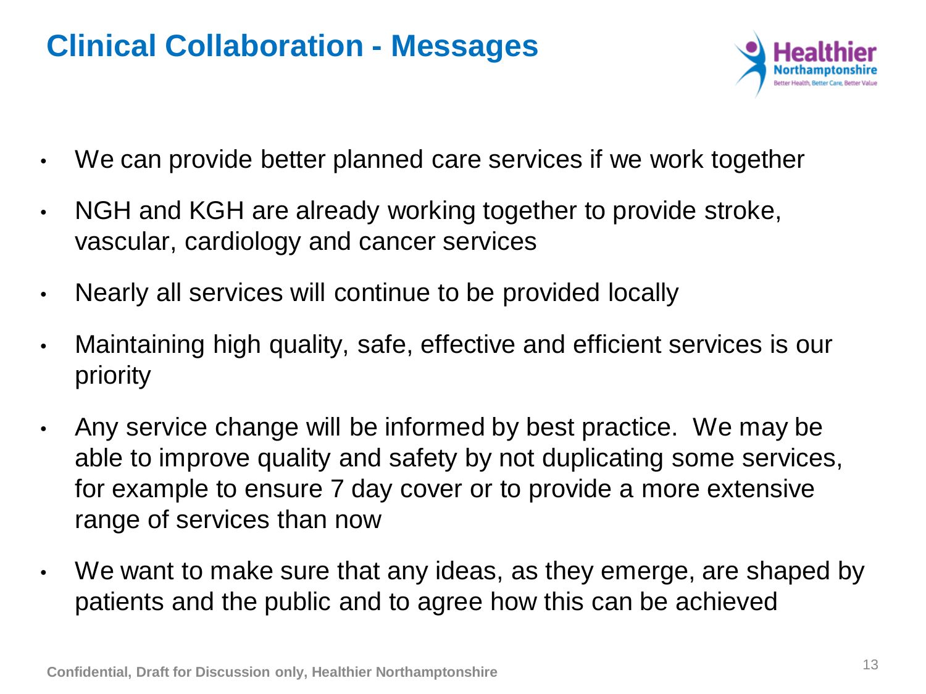### **Clinical Collaboration - Messages**



- We can provide better planned care services if we work together
- NGH and KGH are already working together to provide stroke, vascular, cardiology and cancer services
- Nearly all services will continue to be provided locally
- Maintaining high quality, safe, effective and efficient services is our priority
- Any service change will be informed by best practice. We may be able to improve quality and safety by not duplicating some services, for example to ensure 7 day cover or to provide a more extensive range of services than now
- We want to make sure that any ideas, as they emerge, are shaped by patients and the public and to agree how this can be achieved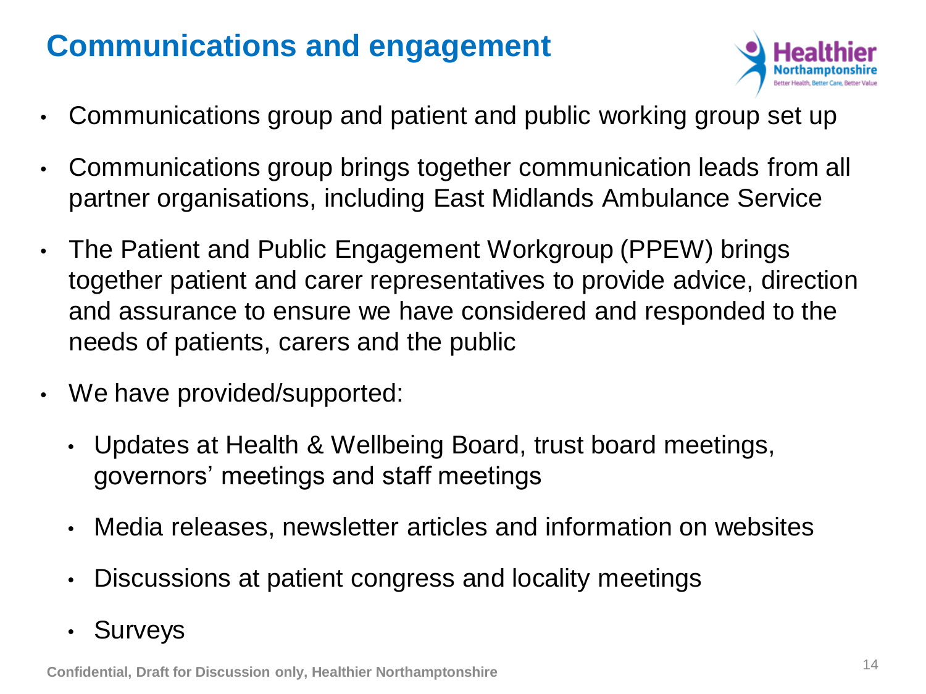# **Communications and engagement**



- Communications group and patient and public working group set up
- Communications group brings together communication leads from all partner organisations, including East Midlands Ambulance Service
- The Patient and Public Engagement Workgroup (PPEW) brings together patient and carer representatives to provide advice, direction and assurance to ensure we have considered and responded to the needs of patients, carers and the public
- We have provided/supported:
	- Updates at Health & Wellbeing Board, trust board meetings, governors' meetings and staff meetings
	- Media releases, newsletter articles and information on websites
	- Discussions at patient congress and locality meetings
	- Surveys

**Confidential, Draft for Discussion only, Healthier Northamptonshire**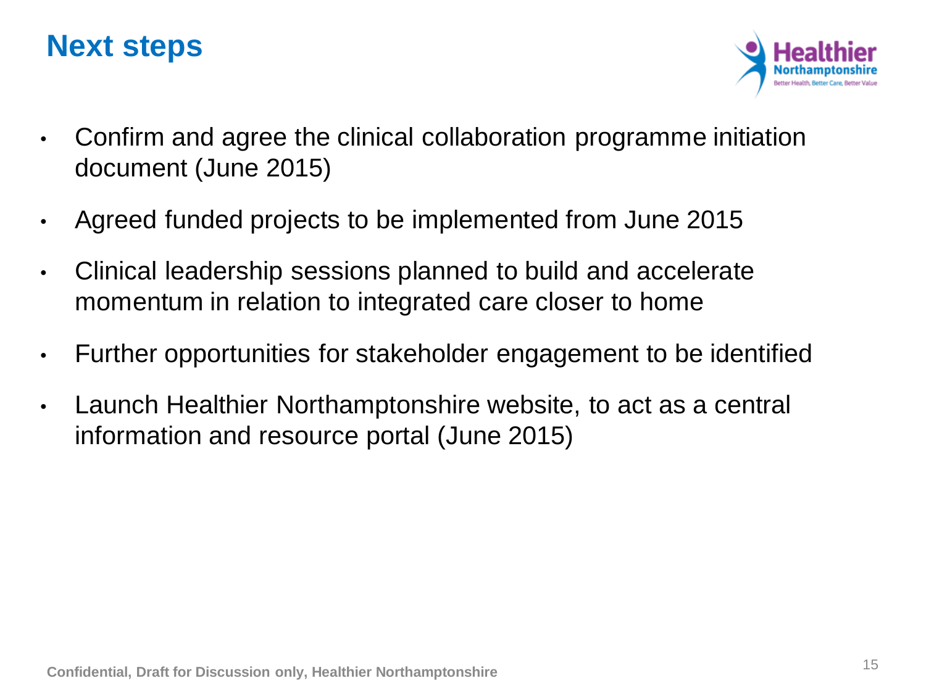### **Next steps**



- Confirm and agree the clinical collaboration programme initiation document (June 2015)
- Agreed funded projects to be implemented from June 2015
- Clinical leadership sessions planned to build and accelerate momentum in relation to integrated care closer to home
- Further opportunities for stakeholder engagement to be identified
- Launch Healthier Northamptonshire website, to act as a central information and resource portal (June 2015)